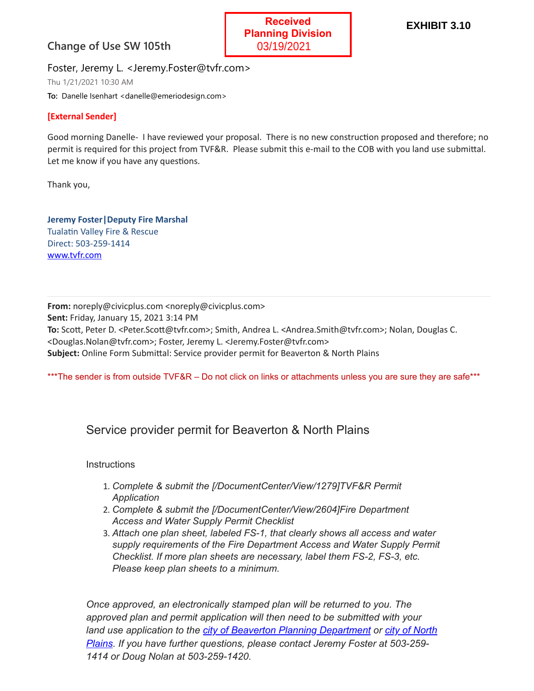## **Change of Use SW 105th**



Foster, Jeremy L. <Jeremy.Foster@tvfr.com>

Thu 1/21/2021 10:30 AM

**To:** Danelle Isenhart <danelle@emeriodesign.com>

## **[External Sender]**

Good morning Danelle- I have reviewed your proposal. There is no new construction proposed and therefore; no permit is required for this project from TVF&R. Please submit this e-mail to the COB with you land use submittal. Let me know if you have any questions.

Thank you,

**Jeremy Foster|Deputy Fire Marshal** Tualatin Valley Fire & Rescue Direct: 503-259-1414 [www.tvfr.com](http://www.tvfr.com/)

**From:** noreply@civicplus.com <noreply@civicplus.com> **Sent:** Friday, January 15, 2021 3:14 PM To: Scott, Peter D. <Peter.Scott@tvfr.com>; Smith, Andrea L. <Andrea.Smith@tvfr.com>; Nolan, Douglas C. <Douglas.Nolan@tvfr.com>; Foster, Jeremy L. <Jeremy.Foster@tvfr.com> **Subject:** Online Form Submittal: Service provider permit for Beaverton & North Plains

\*\*\*The sender is from outside TVF&R – Do not click on links or attachments unless you are sure they are safe\*\*\*

## Service provider permit for Beaverton & North Plains

## **Instructions**

- 1. *Complete & submit the [/DocumentCenter/View/1279]TVF&R Permit Application*
- 2. *Complete & submit the [/DocumentCenter/View/2604]Fire Department Access and Water Supply Permit Checklist*
- 3. *Attach one plan sheet, labeled FS-1, that clearly shows all access and water supply requirements of the Fire Department Access and Water Supply Permit Checklist. If more plan sheets are necessary, label them FS-2, FS-3, etc. Please keep plan sheets to a minimum.*

*Once approved, an electronically stamped plan will be returned to you. The approved plan and permit application will then need to be submitted with your [land use application to the](https://www.northplains.org/planning) [city of Beaverton Planning Departmen](https://www.beavertonoregon.gov/177/Planning)[t or city of North](https://www.northplains.org/planning) Plains. If you have further questions, please contact Jeremy Foster at 503-259- 1414 or Doug Nolan at 503-259-1420.*